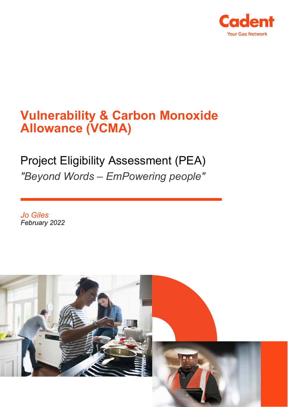

# **Vulnerability & Carbon Monoxide Allowance (VCMA)**

# Project Eligibility Assessment (PEA) *"Beyond Words – EmPowering people"*

*Jo Giles February 2022*

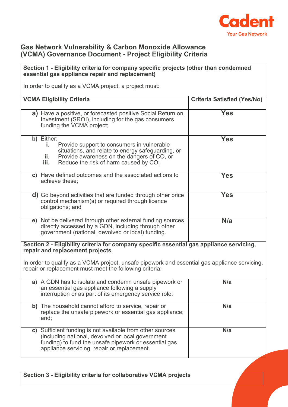

### **Gas Network Vulnerability & Carbon Monoxide Allowance (VCMA) Governance Document - Project Eligibility Criteria**

#### **Section 1 - Eligibility criteria for company specific projects (other than condemned essential gas appliance repair and replacement)** In order to qualify as a VCMA project, a project must: **VCMA Eligibility Criteria Criteria Satisfied (Yes/No) a)** Have a positive, or forecasted positive Social Return on Investment (SROI), including for the gas consumers funding the VCMA project; **Yes b)** Either: **i.** Provide support to consumers in vulnerable situations, and relate to energy safeguarding, or **ii.** Provide awareness on the dangers of CO, or<br>**iii.** Reduce the risk of harm caused by CO. Reduce the risk of harm caused by CO; **Yes c)** Have defined outcomes and the associated actions to achieve these; **Yes d)** Go beyond activities that are funded through other price control mechanism(s) or required through licence obligations; and **Yes e)** Not be delivered through other external funding sources directly accessed by a GDN, including through other government (national, devolved or local) funding. **N/a Section 2 - Eligibility criteria for company specific essential gas appliance servicing, repair and replacement projects** In order to qualify as a VCMA project, unsafe pipework and essential gas appliance servicing, repair or replacement must meet the following criteria: **a)** A GDN has to isolate and condemn unsafe pipework or an essential gas appliance following a supply interruption or as part of its emergency service role; **N/a b)** The household cannot afford to service, repair or replace the unsafe pipework or essential gas appliance; and; **N/a c)** Sufficient funding is not available from other sources (including national, devolved or local government funding) to fund the unsafe pipework or essential gas appliance servicing, repair or replacement. **N/a**

**Section 3 - Eligibility criteria for collaborative VCMA projects**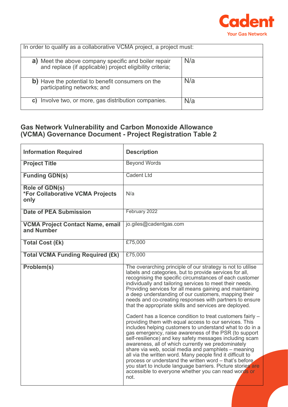

| In order to qualify as a collaborative VCMA project, a project must:                                                 |     |  |
|----------------------------------------------------------------------------------------------------------------------|-----|--|
| Meet the above company specific and boiler repair<br>a)<br>and replace (if applicable) project eligibility criteria: | N/a |  |
| b) Have the potential to benefit consumers on the<br>participating networks; and                                     | N/a |  |
| Involve two, or more, gas distribution companies.<br>C)                                                              | N/a |  |

## **Gas Network Vulnerability and Carbon Monoxide Allowance (VCMA) Governance Document - Project Registration Table 2**

| <b>Information Required</b>                                | <b>Description</b>                                                                                                                                                                                                                                                                                                                                                                                                                                                                                                                                                                                                                                                        |
|------------------------------------------------------------|---------------------------------------------------------------------------------------------------------------------------------------------------------------------------------------------------------------------------------------------------------------------------------------------------------------------------------------------------------------------------------------------------------------------------------------------------------------------------------------------------------------------------------------------------------------------------------------------------------------------------------------------------------------------------|
| <b>Project Title</b>                                       | <b>Beyond Words</b>                                                                                                                                                                                                                                                                                                                                                                                                                                                                                                                                                                                                                                                       |
| <b>Funding GDN(s)</b>                                      | <b>Cadent Ltd</b>                                                                                                                                                                                                                                                                                                                                                                                                                                                                                                                                                                                                                                                         |
| Role of GDN(s)<br>*For Collaborative VCMA Projects<br>only | N/a                                                                                                                                                                                                                                                                                                                                                                                                                                                                                                                                                                                                                                                                       |
| <b>Date of PEA Submission</b>                              | February 2022                                                                                                                                                                                                                                                                                                                                                                                                                                                                                                                                                                                                                                                             |
| <b>VCMA Project Contact Name, email</b><br>and Number      | jo.giles@cadentgas.com                                                                                                                                                                                                                                                                                                                                                                                                                                                                                                                                                                                                                                                    |
| <b>Total Cost (£k)</b>                                     | £75,000                                                                                                                                                                                                                                                                                                                                                                                                                                                                                                                                                                                                                                                                   |
| <b>Total VCMA Funding Required (£k)</b>                    | £75,000                                                                                                                                                                                                                                                                                                                                                                                                                                                                                                                                                                                                                                                                   |
| Problem(s)                                                 | The overarching principle of our strategy is not to utilise<br>labels and categories, but to provide services for all,<br>recognising the specific circumstances of each customer<br>individually and tailoring services to meet their needs.<br>Providing services for all means gaining and maintaining<br>a deep understanding of our customers, mapping their<br>needs and co-creating responses with partners to ensure<br>that the appropriate skills and services are deployed.                                                                                                                                                                                    |
|                                                            | Cadent has a licence condition to treat customers fairly -<br>providing them with equal access to our services. This<br>includes helping customers to understand what to do in a<br>gas emergency, raise awareness of the PSR (to support<br>self-resilience) and key safety messages including scam<br>awareness, all of which currently we predominately<br>share via web, social media and pamphlets – meaning<br>all via the written word. Many people find it difficult to<br>process or understand the written word - that's before.<br>you start to include language barriers. Picture stories are<br>accessible to everyone whether you can read words or<br>not. |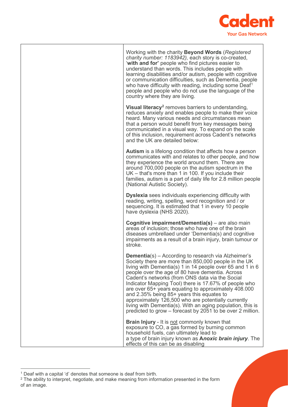

| Working with the charity <b>Beyond Words</b> (Registered<br>charity number: 1183942), each story is co-created,<br>'with and for' people who find pictures easier to<br>understand than words. This includes people with<br>learning disabilities and/or autism, people with cognitive<br>or communication difficulties, such as Dementia, people<br>who have difficulty with reading, including some Deaf <sup>1</sup><br>people and people who do not use the language of the<br>country where they are living.                                                                                                                       |
|-----------------------------------------------------------------------------------------------------------------------------------------------------------------------------------------------------------------------------------------------------------------------------------------------------------------------------------------------------------------------------------------------------------------------------------------------------------------------------------------------------------------------------------------------------------------------------------------------------------------------------------------|
| <b>Visual literacy</b> <sup>2</sup> removes barriers to understanding,<br>reduces anxiety and enables people to make their voice<br>heard. Many various needs and circumstances mean<br>that a person would benefit from key messages being<br>communicated in a visual way. To expand on the scale<br>of this inclusion, requirement across Cadent's networks<br>and the UK are detailed below:                                                                                                                                                                                                                                        |
| <b>Autism</b> is a lifelong condition that affects how a person<br>communicates with and relates to other people, and how<br>they experience the world around them. There are<br>around 700,000 people on the autism spectrum in the<br>UK - that's more than 1 in 100. If you include their<br>families, autism is a part of daily life for 2.8 million people<br>(National Autistic Society).                                                                                                                                                                                                                                         |
| <b>Dyslexia</b> sees individuals experiencing difficulty with<br>reading, writing, spelling, word recognition and / or<br>sequencing. It is estimated that 1 in every 10 people<br>have dyslexia (NHS 2020).                                                                                                                                                                                                                                                                                                                                                                                                                            |
| Cognitive impairment/Dementia(s) - are also main<br>areas of inclusion; those who have one of the brain<br>diseases umbrellaed under 'Dementia(s) and cognitive<br>impairments as a result of a brain injury, brain tumour or<br>stroke.                                                                                                                                                                                                                                                                                                                                                                                                |
| <b>Dementia</b> (s) – According to research via Alzheimer's<br>Society there are more than 850,000 people in the UK<br>living with Dementia(s) 1 in 14 people over 65 and 1 in 6<br>people over the age of 80 have dementia. Across<br>Cadent's networks (from ONS data via the Social<br>Indicator Mapping Tool) there is 17.67% of people who<br>are over 65+ years equating to approximately 408.000<br>and 2.35% being 85+ years this equates to<br>approximately 126,500 who are potentially currently<br>living with Dementia(s). With an aging population, this is<br>predicted to grow – forecast by 2051 to be over 2 million. |
| <b>Brain Injury</b> - It is not commonly known that<br>exposure to CO, a gas formed by burning common<br>household fuels, can ultimately lead to<br>a type of brain injury known as <b>Anoxic brain injury</b> . The<br>effects of this can be as disabling                                                                                                                                                                                                                                                                                                                                                                             |

<span id="page-3-0"></span><sup>1</sup> Deaf with a capital 'd' denotes that someone is deaf from birth.

<span id="page-3-1"></span> $^2$  The ability to interpret, negotiate, and make meaning from information presented in the form of an image.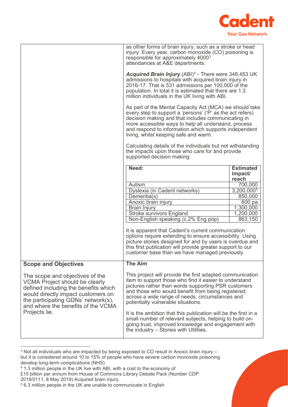

|                                                                                                                                                                                                                                                      | as other forms of brain injury, such as a stroke or head<br>injury. Every year, carbon monoxide (CO) poisoning is<br>responsible for approximately 4000 <sup>3</sup><br>attendances at A&E departments.                                                                                                                                                                                                                                                                                                                                                                                                                                                                                                                                                                                                                               |                        |
|------------------------------------------------------------------------------------------------------------------------------------------------------------------------------------------------------------------------------------------------------|---------------------------------------------------------------------------------------------------------------------------------------------------------------------------------------------------------------------------------------------------------------------------------------------------------------------------------------------------------------------------------------------------------------------------------------------------------------------------------------------------------------------------------------------------------------------------------------------------------------------------------------------------------------------------------------------------------------------------------------------------------------------------------------------------------------------------------------|------------------------|
|                                                                                                                                                                                                                                                      | Acquired Brain Injury (ABI) <sup>4</sup> - There were 348,453 UK<br>admissions to hospitals with acquired brain injury in<br>2016-17. That is 531 admissions per 100,000 of the<br>population. In total it is estimated that there are 1.3<br>million individuals in the UK living with ABI.<br>As part of the Mental Capacity Act (MCA) we should take<br>every step to support a 'persons' ('P' as the act refers)<br>decision making and that includes communicating in<br>more accessible ways to help all understand, process<br>and respond to information which supports independent<br>living, whilst keeping safe and warm.<br>Calculating details of the individuals but not withstanding<br>the impacts upon those who care for and provide<br>supported decision making:<br>Need:<br><b>Estimated</b><br>impact/<br>reach |                        |
|                                                                                                                                                                                                                                                      |                                                                                                                                                                                                                                                                                                                                                                                                                                                                                                                                                                                                                                                                                                                                                                                                                                       |                        |
|                                                                                                                                                                                                                                                      |                                                                                                                                                                                                                                                                                                                                                                                                                                                                                                                                                                                                                                                                                                                                                                                                                                       |                        |
|                                                                                                                                                                                                                                                      |                                                                                                                                                                                                                                                                                                                                                                                                                                                                                                                                                                                                                                                                                                                                                                                                                                       |                        |
|                                                                                                                                                                                                                                                      | Autism                                                                                                                                                                                                                                                                                                                                                                                                                                                                                                                                                                                                                                                                                                                                                                                                                                | 700,000                |
|                                                                                                                                                                                                                                                      | Dyslexia (in Cadent networks)                                                                                                                                                                                                                                                                                                                                                                                                                                                                                                                                                                                                                                                                                                                                                                                                         | $3,200,000^{5}$        |
|                                                                                                                                                                                                                                                      | Dementia(s)                                                                                                                                                                                                                                                                                                                                                                                                                                                                                                                                                                                                                                                                                                                                                                                                                           | 850,000                |
|                                                                                                                                                                                                                                                      | Anoxic brain injury                                                                                                                                                                                                                                                                                                                                                                                                                                                                                                                                                                                                                                                                                                                                                                                                                   | 600 pa                 |
|                                                                                                                                                                                                                                                      | <b>Brain Injury</b>                                                                                                                                                                                                                                                                                                                                                                                                                                                                                                                                                                                                                                                                                                                                                                                                                   | $\overline{1,}300,000$ |
|                                                                                                                                                                                                                                                      | <b>Stroke survivors England</b>                                                                                                                                                                                                                                                                                                                                                                                                                                                                                                                                                                                                                                                                                                                                                                                                       | 1,200,000              |
|                                                                                                                                                                                                                                                      | Non-English speaking (c.2% Eng pop)                                                                                                                                                                                                                                                                                                                                                                                                                                                                                                                                                                                                                                                                                                                                                                                                   | 863,150                |
|                                                                                                                                                                                                                                                      | It is apparent that Cadent's current communication<br>options require extending to ensure accessibility. Using<br>picture stories designed for and by users is overdue and<br>this first publication will provide greater support to our<br>customer base than we have managed previously.                                                                                                                                                                                                                                                                                                                                                                                                                                                                                                                                            |                        |
| <b>Scope and Objectives</b>                                                                                                                                                                                                                          | <b>The Aim</b>                                                                                                                                                                                                                                                                                                                                                                                                                                                                                                                                                                                                                                                                                                                                                                                                                        |                        |
| The scope and objectives of the<br><b>VCMA Project should be clearly</b><br>defined including the benefits which<br>would directly impact customers on<br>the participating GDNs' network(s),<br>and where the benefits of the VCMA<br>Projects lie. | This project will provide the first adapted communication<br>item to support those who find it easier to understand<br>pictures rather than words supporting PSR customers<br>and those who would benefit from being registered;<br>across a wide range of needs, circumstances and<br>potentially vulnerable situations.<br>It is the ambition that this publication will be the first in a                                                                                                                                                                                                                                                                                                                                                                                                                                          |                        |
|                                                                                                                                                                                                                                                      | small number of relevant subjects, helping to build on-<br>going trust, improved knowledge and engagement with<br>the industry – Stories with Utilities.                                                                                                                                                                                                                                                                                                                                                                                                                                                                                                                                                                                                                                                                              |                        |

<span id="page-4-0"></span><sup>&</sup>lt;sup>3</sup> Not all individuals who are impacted by being exposed to CO result in Anoxic brain injury but it is considered around 10 to 15% of people who have severe carbon monoxide poisoning develop long-term complications (NHS)

<span id="page-4-1"></span><sup>4</sup> 1.3 million people in the UK live with ABI, with a cost to the economy of

<sup>£15</sup> billion per annum from House of Commons Library Debate Pack (Number CDP 2019/0111, 8 May 2019) Acquired brain injury.

<span id="page-4-2"></span><sup>5</sup> 6.3 million people in the UK are unable to communicate in English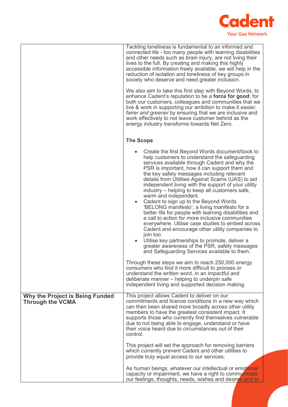

|                                                                   | Tackling loneliness is fundamental to an informed and<br>connected life - too many people with learning disabilities<br>and other needs such as brain injury, are not living their<br>lives to the full. By creating and making this highly<br>accessible information freely available, we will help in the<br>reduction of isolation and loneliness of key groups in<br>society who deserve and need greater inclusion.                                                                                                                                                                                                                                                                        |
|-------------------------------------------------------------------|-------------------------------------------------------------------------------------------------------------------------------------------------------------------------------------------------------------------------------------------------------------------------------------------------------------------------------------------------------------------------------------------------------------------------------------------------------------------------------------------------------------------------------------------------------------------------------------------------------------------------------------------------------------------------------------------------|
|                                                                   | We also aim to take this first step with Beyond Words, to<br>enhance Cadent's reputation to be a force for good; for<br>both our customers, colleagues and communities that we<br>live & work in supporting our ambition to make it easier,<br>fairer and greener by ensuring that we are inclusive and<br>work effectively to not leave customer behind as the<br>energy industry transforms towards Net Zero.                                                                                                                                                                                                                                                                                 |
|                                                                   | <b>The Scope</b>                                                                                                                                                                                                                                                                                                                                                                                                                                                                                                                                                                                                                                                                                |
|                                                                   | Create the first Beyond Words document/book to<br>help customers to understand the safeguarding<br>services available through Cadent and why the<br>PSR is important, how it can support them and<br>the key safety messages including relevant<br>details from Utilities Against Scams (UAS) to aid<br>independent living with the support of your utility<br>industry – helping to keep all customers safe,<br>warm and independent.<br>Cadent to sign up to the Beyond Words<br>'BELONG manifesto'; a living manifesto for a<br>better life for people with learning disabilities and<br>a call to action for more inclusive communities<br>everywhere. Utilise case studies to embed across |
|                                                                   | Cadent and encourage other utility companies to<br>join too.<br>Utilise key partnerships to promote, deliver a<br>greater awareness of the PSR, safety messages<br>and Safeguarding Services available to them.                                                                                                                                                                                                                                                                                                                                                                                                                                                                                 |
|                                                                   | Through these steps we aim to reach 250,000 energy<br>consumers who find it more difficult to process or<br>understand the written word, in an impactful and<br>deliberate manner – helping to underpin safe<br>independent living and supported decision making.                                                                                                                                                                                                                                                                                                                                                                                                                               |
| <b>Why the Project is Being Funded</b><br><b>Through the VCMA</b> | This project allows Cadent to deliver on our<br>commitments and licence conditions in a new way which<br>can then been shared more broadly across other utility<br>members to have the greatest consistent impact. It<br>supports those who currently find themselves vulnerable<br>due to not being able to engage, understand or have<br>their voice heard due to circumstances out of their<br>control.                                                                                                                                                                                                                                                                                      |
|                                                                   | This project will set the approach for removing barriers<br>which currently prevent Cadent and other utilities to<br>provide truly equal access to our services.                                                                                                                                                                                                                                                                                                                                                                                                                                                                                                                                |
|                                                                   | As human beings, whatever our intellectual or emotional<br>capacity or impairment, we have a right to communicate<br>our feelings, thoughts, needs, wishes and desires and to                                                                                                                                                                                                                                                                                                                                                                                                                                                                                                                   |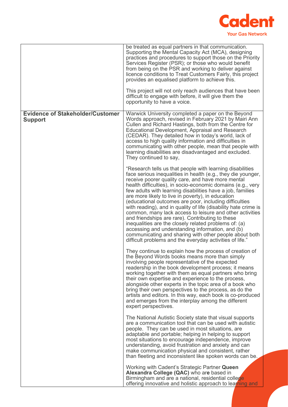

|                                                           | be treated as equal partners in that communication.<br>Supporting the Mental Capacity Act (MCA), designing<br>practices and procedures to support those on the Priority<br>Services Register (PSR); or those who would benefit<br>from being on the PSR and working to deliver against<br>licence conditions to Treat Customers Fairly, this project<br>provides an equalised platform to achieve this.<br>This project will not only reach audiences that have been<br>difficult to engage with before, it will give them the<br>opportunity to have a voice.                                                                                                                                                                                                                                                                                   |
|-----------------------------------------------------------|--------------------------------------------------------------------------------------------------------------------------------------------------------------------------------------------------------------------------------------------------------------------------------------------------------------------------------------------------------------------------------------------------------------------------------------------------------------------------------------------------------------------------------------------------------------------------------------------------------------------------------------------------------------------------------------------------------------------------------------------------------------------------------------------------------------------------------------------------|
| <b>Evidence of Stakeholder/Customer</b><br><b>Support</b> | Warwick University completed a paper on the Beyond<br>Words approach, revised in February 2021 by Mairi Ann<br>Cullen and Richard Hastings, both from the Centre for<br>Educational Development, Appraisal and Research<br>(CEDAR). They detailed how in today's world, lack of<br>access to high quality information and difficulties in<br>communicating with other people, mean that people with<br>learning disabilities are disadvantaged and excluded.<br>They continued to say,                                                                                                                                                                                                                                                                                                                                                           |
|                                                           | "Research tells us that people with learning disabilities<br>face serious inequalities in health (e.g., they die younger,<br>receive poorer quality care, and have more mental<br>health difficulties), in socio-economic domains (e.g., very<br>few adults with learning disabilities have a job, families<br>are more likely to live in poverty), in education<br>(educational outcomes are poor, including difficulties<br>with reading), and in quality of life (disability hate crime is<br>common, many lack access to leisure and other activities<br>and friendships are rare). Contributing to these<br>inequalities are the closely related problems of: (a)<br>accessing and understanding information, and (b)<br>communicating and sharing with other people about both<br>difficult problems and the everyday activities of life." |
|                                                           | They continue to explain how the process of creation of<br>the Beyond Words books means more than simply<br>involving people representative of the expected<br>readership in the book development process; it means<br>working together with them as equal partners who bring<br>their own expertise and experience to the process,<br>alongside other experts in the topic area of a book who<br>bring their own perspectives to the process, as do the<br>artists and editors. In this way, each book is co-produced<br>and emerges from the interplay among the different<br>expert perspectives.                                                                                                                                                                                                                                             |
|                                                           | The National Autistic Society state that visual supports<br>are a communication tool that can be used with autistic<br>people. They can be used in most situations, are<br>adaptable and portable; helping in helping to support<br>most situations to encourage independence, improve<br>understanding, avoid frustration and anxiety and can<br>make communication physical and consistent, rather<br>than fleeting and inconsistent like spoken words can be.                                                                                                                                                                                                                                                                                                                                                                                 |
|                                                           | Working with Cadent's Strategic Partner Queen<br>Alexandra College (QAC) who are based in<br>Birmingham and are a national, residential college<br>offering innovative and holistic approach to learning and                                                                                                                                                                                                                                                                                                                                                                                                                                                                                                                                                                                                                                     |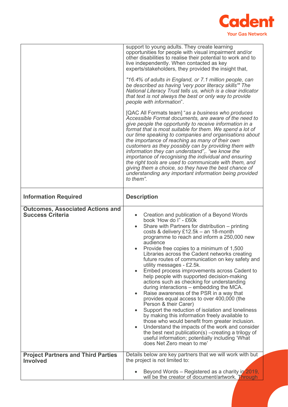

|                                                                    | support to young adults. They create learning<br>opportunities for people with visual impairment and/or<br>other disabilities to realise their potential to work and to<br>live independently. When contacted as key<br>experts/stakeholders, they provided the insight that,<br>"16.4% of adults in England, or 7.1 million people, can<br>be described as having 'very poor literacy skills'" The<br>National Literacy Trust tells us, which is a clear indicator<br>that text is not always the best or only way to provide<br>people with information".<br>[QAC All Formats team] "as a business who produces<br>Accessible Format documents, are aware of the need to<br>give people the opportunity to receive information in a<br>format that is most suitable for them. We spend a lot of<br>our time speaking to companies and organisations about<br>the importance of reaching as many of their own<br>customers as they possibly can by providing them with information they can understand", we know the<br>importance of recognising the individual and ensuring<br>the right tools are used to communicate with them, and<br>giving them a choice, so they have the best chance of<br>understanding any important information being provided<br>to them". |
|--------------------------------------------------------------------|--------------------------------------------------------------------------------------------------------------------------------------------------------------------------------------------------------------------------------------------------------------------------------------------------------------------------------------------------------------------------------------------------------------------------------------------------------------------------------------------------------------------------------------------------------------------------------------------------------------------------------------------------------------------------------------------------------------------------------------------------------------------------------------------------------------------------------------------------------------------------------------------------------------------------------------------------------------------------------------------------------------------------------------------------------------------------------------------------------------------------------------------------------------------------------------------------------------------------------------------------------------------------|
| <b>Information Required</b>                                        | <b>Description</b>                                                                                                                                                                                                                                                                                                                                                                                                                                                                                                                                                                                                                                                                                                                                                                                                                                                                                                                                                                                                                                                                                                                                                                                                                                                       |
|                                                                    |                                                                                                                                                                                                                                                                                                                                                                                                                                                                                                                                                                                                                                                                                                                                                                                                                                                                                                                                                                                                                                                                                                                                                                                                                                                                          |
| <b>Outcomes, Associated Actions and</b><br><b>Success Criteria</b> | Creation and publication of a Beyond Words<br>$\bullet$<br>book 'How do I" - £60k<br>Share with Partners for distribution - printing<br>$\bullet$<br>costs & delivery £12.5k - an 18-month<br>programme to reach and inform a 250,000 new<br>audience<br>Provide free copies to a minimum of 1,500<br>Libraries across the Cadent networks creating<br>future routes of communication on key safety and<br>utility messages - £2.5k.<br>Embed process improvements across Cadent to<br>help people with supported decision-making<br>actions such as checking for understanding<br>during interactions – embedding the MCA.<br>Raise awareness of the PSR in a way that<br>$\bullet$<br>provides equal access to over 400,000 (the<br>Person & their Carer)<br>Support the reduction of isolation and loneliness<br>by making this information freely available to<br>those who would benefit from greater inclusion.<br>Understand the impacts of the work and consider<br>$\bullet$<br>the best next publication(s) – creating a trilogy of<br>useful information; potentially including 'What<br>does Net Zero mean to me'                                                                                                                                            |
| <b>Project Partners and Third Parties</b><br><b>Involved</b>       | Details below are key partners that we will work with but<br>the project is not limited to:                                                                                                                                                                                                                                                                                                                                                                                                                                                                                                                                                                                                                                                                                                                                                                                                                                                                                                                                                                                                                                                                                                                                                                              |
|                                                                    | Beyond Words – Registered as a charity in 2019,<br>will be the creator of document/artwork. Through                                                                                                                                                                                                                                                                                                                                                                                                                                                                                                                                                                                                                                                                                                                                                                                                                                                                                                                                                                                                                                                                                                                                                                      |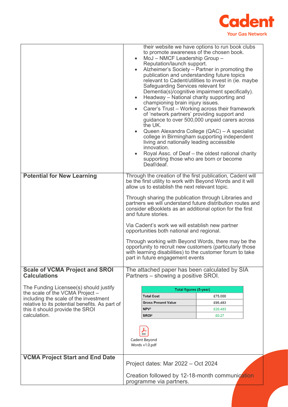

|                                                                           | $\bullet$<br>$\bullet$<br>$\bullet$<br>$\bullet$                          | to promote awareness of the chosen book.<br>MoJ - NMCF Leadership Group -<br>Reputation/launch support.<br>publication and understanding future topics<br>Safeguarding Services relevant for<br>Headway - National charity supporting and<br>championing brain injury issues.<br>of 'network partners' providing support and<br>the UK.<br>living and nationally leading accessible<br>innovation.<br>supporting those who are born or become<br>Deaf/deaf. | their website we have options to run book clubs<br>Alzheimer's Society - Partner in promoting the<br>relevant to Cadent/utilities to invest in (ie. maybe<br>Dementia(s)/cognitive impairment specifically).<br>Carer's Trust - Working across their framework<br>guidance to over 500,000 unpaid carers across<br>Queen Alexandra College (QAC) - A specialist<br>college in Birmingham supporting independent<br>Royal Assc. of Deaf – the oldest national charity                        |
|---------------------------------------------------------------------------|---------------------------------------------------------------------------|-------------------------------------------------------------------------------------------------------------------------------------------------------------------------------------------------------------------------------------------------------------------------------------------------------------------------------------------------------------------------------------------------------------------------------------------------------------|---------------------------------------------------------------------------------------------------------------------------------------------------------------------------------------------------------------------------------------------------------------------------------------------------------------------------------------------------------------------------------------------------------------------------------------------------------------------------------------------|
| <b>Potential for New Learning</b>                                         |                                                                           | allow us to establish the next relevant topic.<br>and future stories.<br>Via Cadent's work we will establish new partner<br>opportunities both national and regional.<br>part in future engagement events                                                                                                                                                                                                                                                   | Through the creation of the first publication, Cadent will<br>be the first utility to work with Beyond Words and it will<br>Through sharing the publication through Libraries and<br>partners we will understand future distribution routes and<br>consider eBooklets as an additional option for the first<br>Through working with Beyond Words, there may be the<br>opportunity to recruit new customers (particularly those<br>with learning disabilities) to the customer forum to take |
| <b>Scale of VCMA Project and SROI</b>                                     |                                                                           | The attached paper has been calculated by SIA                                                                                                                                                                                                                                                                                                                                                                                                               |                                                                                                                                                                                                                                                                                                                                                                                                                                                                                             |
| <b>Calculations</b>                                                       |                                                                           | Partners – showing a positive SROI.                                                                                                                                                                                                                                                                                                                                                                                                                         |                                                                                                                                                                                                                                                                                                                                                                                                                                                                                             |
| The Funding Licensee(s) should justify<br>the scale of the VCMA Project - | Total figures (5-year)                                                    |                                                                                                                                                                                                                                                                                                                                                                                                                                                             |                                                                                                                                                                                                                                                                                                                                                                                                                                                                                             |
| including the scale of the investment                                     |                                                                           | <b>Total Cost</b>                                                                                                                                                                                                                                                                                                                                                                                                                                           | £75,000                                                                                                                                                                                                                                                                                                                                                                                                                                                                                     |
| relative to its potential benefits. As part of                            |                                                                           | <b>Gross Present Value</b>                                                                                                                                                                                                                                                                                                                                                                                                                                  | £95,483                                                                                                                                                                                                                                                                                                                                                                                                                                                                                     |
| this it should provide the SROI<br>calculation.                           |                                                                           | NPV <sup>1</sup><br>SRO <sub>12</sub>                                                                                                                                                                                                                                                                                                                                                                                                                       | £20,483<br>£0.27                                                                                                                                                                                                                                                                                                                                                                                                                                                                            |
|                                                                           |                                                                           |                                                                                                                                                                                                                                                                                                                                                                                                                                                             |                                                                                                                                                                                                                                                                                                                                                                                                                                                                                             |
|                                                                           |                                                                           | ⅄<br>PDF<br>Cadent Beyond<br>Words v1.0.pdf                                                                                                                                                                                                                                                                                                                                                                                                                 |                                                                                                                                                                                                                                                                                                                                                                                                                                                                                             |
| <b>VCMA Project Start and End Date</b>                                    |                                                                           | Project dates: Mar 2022 - Oct 2024                                                                                                                                                                                                                                                                                                                                                                                                                          |                                                                                                                                                                                                                                                                                                                                                                                                                                                                                             |
|                                                                           |                                                                           |                                                                                                                                                                                                                                                                                                                                                                                                                                                             |                                                                                                                                                                                                                                                                                                                                                                                                                                                                                             |
|                                                                           | Creation followed by 12-18-month communication<br>programme via partners. |                                                                                                                                                                                                                                                                                                                                                                                                                                                             |                                                                                                                                                                                                                                                                                                                                                                                                                                                                                             |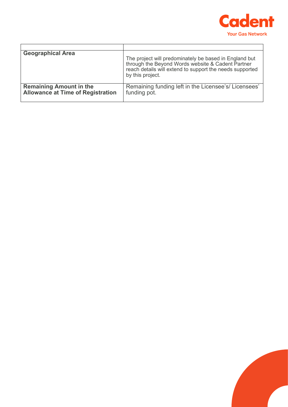

| <b>Geographical Area</b>                                                   | The project will predominately be based in England but<br>through the Beyond Words website & Cadent Partner<br>reach details will extend to support the needs supported<br>by this project. |
|----------------------------------------------------------------------------|---------------------------------------------------------------------------------------------------------------------------------------------------------------------------------------------|
| <b>Remaining Amount in the</b><br><b>Allowance at Time of Registration</b> | Remaining funding left in the Licensee's/Licensees'<br>funding pot.                                                                                                                         |